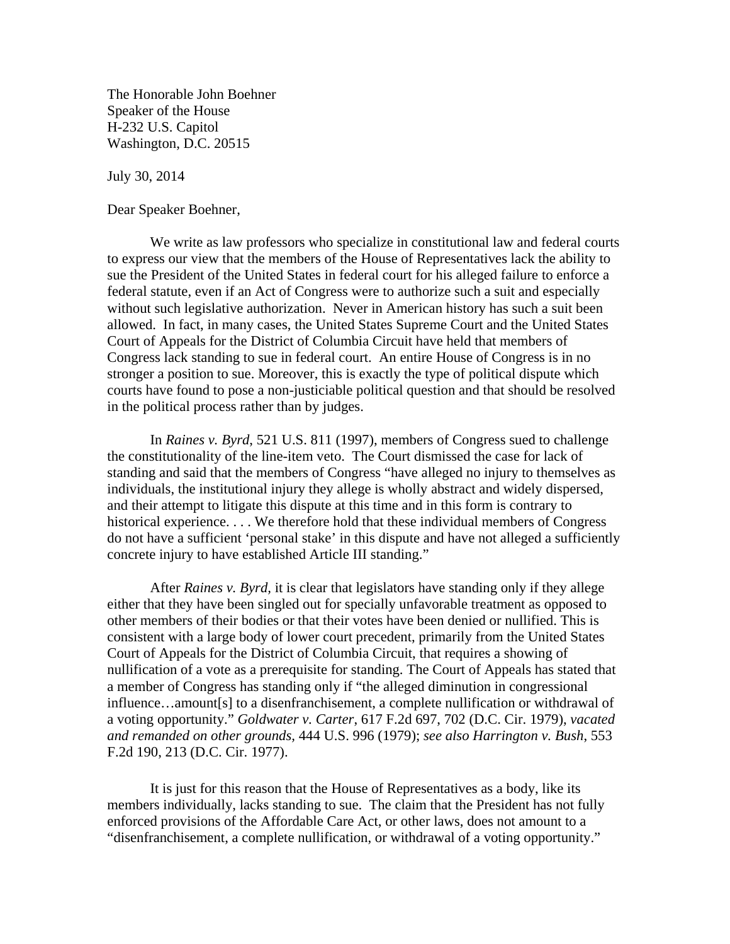The Honorable John Boehner Speaker of the House H-232 U.S. Capitol Washington, D.C. 20515

July 30, 2014

Dear Speaker Boehner,

 We write as law professors who specialize in constitutional law and federal courts to express our view that the members of the House of Representatives lack the ability to sue the President of the United States in federal court for his alleged failure to enforce a federal statute, even if an Act of Congress were to authorize such a suit and especially without such legislative authorization. Never in American history has such a suit been allowed. In fact, in many cases, the United States Supreme Court and the United States Court of Appeals for the District of Columbia Circuit have held that members of Congress lack standing to sue in federal court. An entire House of Congress is in no stronger a position to sue. Moreover, this is exactly the type of political dispute which courts have found to pose a non-justiciable political question and that should be resolved in the political process rather than by judges.

 In *Raines v. Byrd*, 521 U.S. 811 (1997), members of Congress sued to challenge the constitutionality of the line-item veto. The Court dismissed the case for lack of standing and said that the members of Congress "have alleged no injury to themselves as individuals, the institutional injury they allege is wholly abstract and widely dispersed, and their attempt to litigate this dispute at this time and in this form is contrary to historical experience. . . . We therefore hold that these individual members of Congress do not have a sufficient 'personal stake' in this dispute and have not alleged a sufficiently concrete injury to have established Article III standing."

 After *Raines v. Byrd,* it is clear that legislators have standing only if they allege either that they have been singled out for specially unfavorable treatment as opposed to other members of their bodies or that their votes have been denied or nullified. This is consistent with a large body of lower court precedent, primarily from the United States Court of Appeals for the District of Columbia Circuit, that requires a showing of nullification of a vote as a prerequisite for standing. The Court of Appeals has stated that a member of Congress has standing only if "the alleged diminution in congressional influence…amount[s] to a disenfranchisement, a complete nullification or withdrawal of a voting opportunity." *Goldwater v. Carter*, 617 F.2d 697, 702 (D.C. Cir. 1979), *vacated and remanded on other grounds,* 444 U.S. 996 (1979); *see also Harrington v. Bush*, 553 F.2d 190, 213 (D.C. Cir. 1977).

 It is just for this reason that the House of Representatives as a body, like its members individually, lacks standing to sue. The claim that the President has not fully enforced provisions of the Affordable Care Act, or other laws, does not amount to a "disenfranchisement, a complete nullification, or withdrawal of a voting opportunity."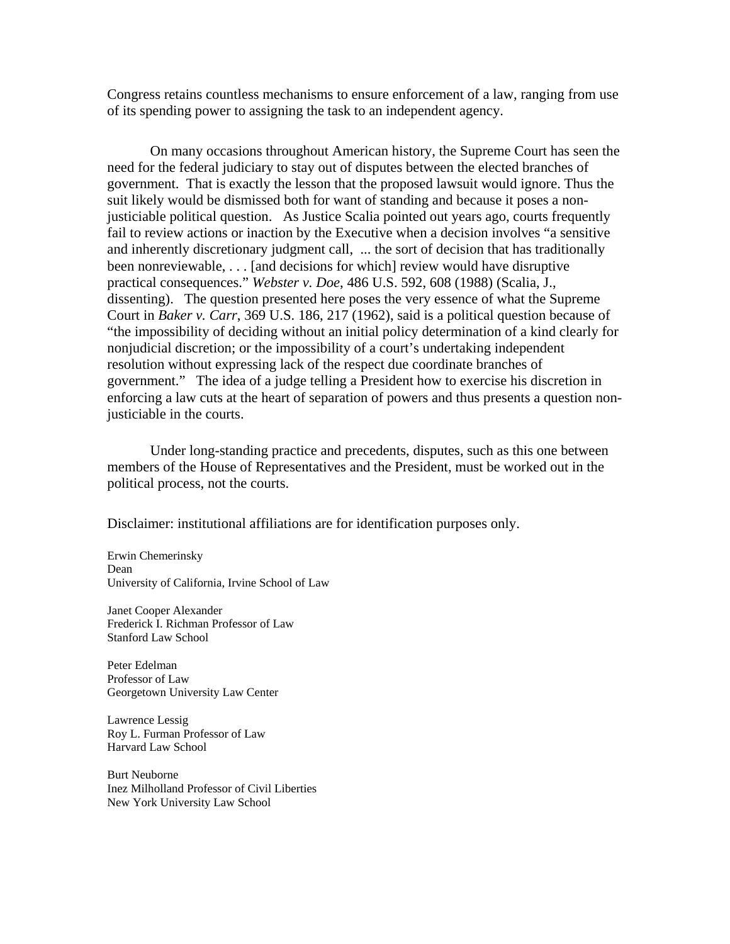Congress retains countless mechanisms to ensure enforcement of a law, ranging from use of its spending power to assigning the task to an independent agency.

 On many occasions throughout American history, the Supreme Court has seen the need for the federal judiciary to stay out of disputes between the elected branches of government. That is exactly the lesson that the proposed lawsuit would ignore. Thus the suit likely would be dismissed both for want of standing and because it poses a nonjusticiable political question. As Justice Scalia pointed out years ago, courts frequently fail to review actions or inaction by the Executive when a decision involves "a sensitive and inherently discretionary judgment call, ... the sort of decision that has traditionally been nonreviewable, . . . [and decisions for which] review would have disruptive practical consequences." *Webster v. Doe*, 486 U.S. 592, 608 (1988) (Scalia, J., dissenting). The question presented here poses the very essence of what the Supreme Court in *Baker v. Carr*, 369 U.S. 186, 217 (1962), said is a political question because of "the impossibility of deciding without an initial policy determination of a kind clearly for nonjudicial discretion; or the impossibility of a court's undertaking independent resolution without expressing lack of the respect due coordinate branches of government." The idea of a judge telling a President how to exercise his discretion in enforcing a law cuts at the heart of separation of powers and thus presents a question nonjusticiable in the courts.

 Under long-standing practice and precedents, disputes, such as this one between members of the House of Representatives and the President, must be worked out in the political process, not the courts.

Disclaimer: institutional affiliations are for identification purposes only.

Erwin Chemerinsky Dean University of California, Irvine School of Law

Janet Cooper Alexander Frederick I. Richman Professor of Law Stanford Law School

Peter Edelman Professor of Law Georgetown University Law Center

Lawrence Lessig Roy L. Furman Professor of Law Harvard Law School

Burt Neuborne Inez Milholland Professor of Civil Liberties New York University Law School